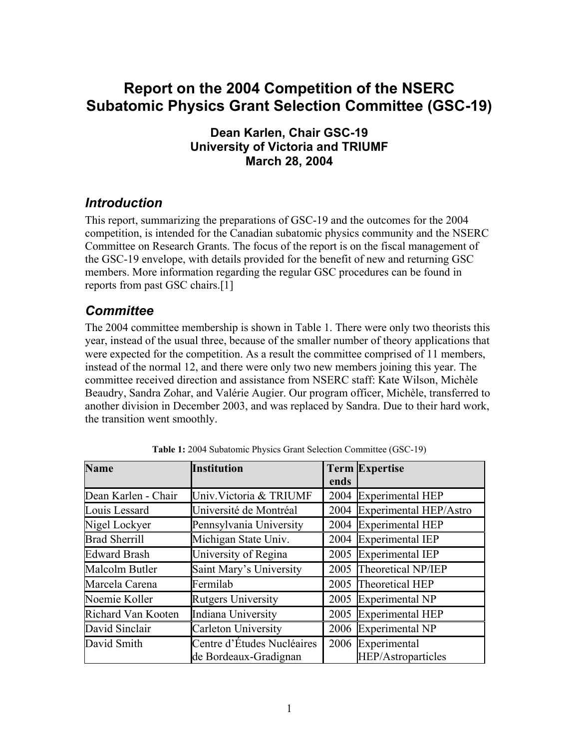# **Report on the 2004 Competition of the NSERC Subatomic Physics Grant Selection Committee (GSC-19)**

#### **Dean Karlen, Chair GSC-19 University of Victoria and TRIUMF March 28, 2004**

#### *Introduction*

This report, summarizing the preparations of GSC-19 and the outcomes for the 2004 competition, is intended for the Canadian subatomic physics community and the NSERC Committee on Research Grants. The focus of the report is on the fiscal management of the GSC-19 envelope, with details provided for the benefit of new and returning GSC members. More information regarding the regular GSC procedures can be found in reports from past GSC chairs.[[1\]](#page-9-0)

#### *Committee*

The 2004 committee membership is shown in [Table](#page-0-0) 1. There were only two theorists this year, instead of the usual three, because of the smaller number of theory applications that were expected for the competition. As a result the committee comprised of 11 members, instead of the normal 12, and there were only two new members joining this year. The committee received direction and assistance from NSERC staff: Kate Wilson, Michèle Beaudry, Sandra Zohar, and Valérie Augier. Our program officer, Michèle, transferred to another division in December 2003, and was replaced by Sandra. Due to their hard work, the transition went smoothly.

| <b>Name</b>          | <b>Institution</b>                                  |      | <b>Term Expertise</b>                     |  |
|----------------------|-----------------------------------------------------|------|-------------------------------------------|--|
|                      |                                                     | ends |                                           |  |
| Dean Karlen - Chair  | Univ. Victoria & TRIUMF                             | 2004 | <b>Experimental HEP</b>                   |  |
| Louis Lessard        | Université de Montréal                              | 2004 | Experimental HEP/Astro                    |  |
| Nigel Lockyer        | Pennsylvania University                             | 2004 | <b>Experimental HEP</b>                   |  |
| <b>Brad Sherrill</b> | Michigan State Univ.                                | 2004 | Experimental IEP                          |  |
| <b>Edward Brash</b>  | University of Regina                                | 2005 | Experimental IEP                          |  |
| Malcolm Butler       | Saint Mary's University                             | 2005 | Theoretical NP/IEP                        |  |
| Marcela Carena       | Fermilab                                            | 2005 | Theoretical HEP                           |  |
| Noemie Koller        | <b>Rutgers University</b>                           | 2005 | Experimental NP                           |  |
| Richard Van Kooten   | Indiana University                                  | 2005 | Experimental HEP                          |  |
| David Sinclair       | <b>Carleton University</b>                          | 2006 | Experimental NP                           |  |
| David Smith          | Centre d'Études Nucléaires<br>de Bordeaux-Gradignan | 2006 | Experimental<br><b>HEP/Astroparticles</b> |  |

<span id="page-0-0"></span>**Table 1:** 2004 Subatomic Physics Grant Selection Committee (GSC-19)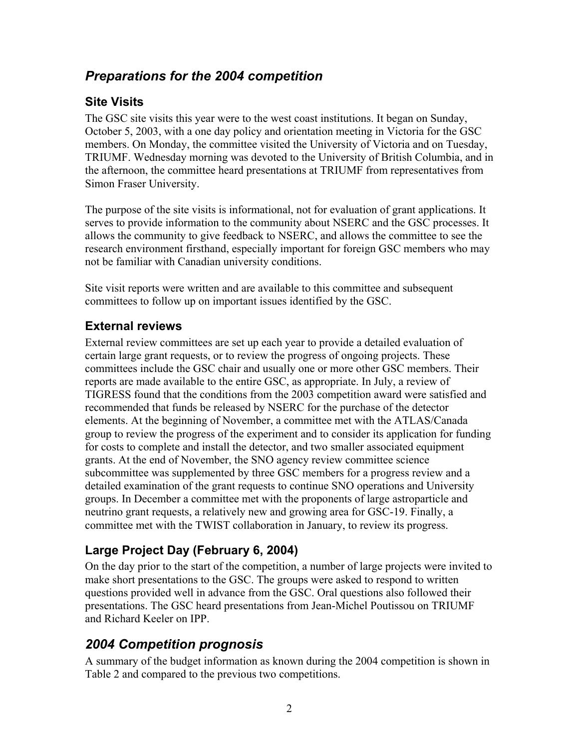## *Preparations for the 2004 competition*

#### **Site Visits**

The GSC site visits this year were to the west coast institutions. It began on Sunday, October 5, 2003, with a one day policy and orientation meeting in Victoria for the GSC members. On Monday, the committee visited the University of Victoria and on Tuesday, TRIUMF. Wednesday morning was devoted to the University of British Columbia, and in the afternoon, the committee heard presentations at TRIUMF from representatives from Simon Fraser University.

The purpose of the site visits is informational, not for evaluation of grant applications. It serves to provide information to the community about NSERC and the GSC processes. It allows the community to give feedback to NSERC, and allows the committee to see the research environment firsthand, especially important for foreign GSC members who may not be familiar with Canadian university conditions.

Site visit reports were written and are available to this committee and subsequent committees to follow up on important issues identified by the GSC.

#### **External reviews**

External review committees are set up each year to provide a detailed evaluation of certain large grant requests, or to review the progress of ongoing projects. These committees include the GSC chair and usually one or more other GSC members. Their reports are made available to the entire GSC, as appropriate. In July, a review of TIGRESS found that the conditions from the 2003 competition award were satisfied and recommended that funds be released by NSERC for the purchase of the detector elements. At the beginning of November, a committee met with the ATLAS/Canada group to review the progress of the experiment and to consider its application for funding for costs to complete and install the detector, and two smaller associated equipment grants. At the end of November, the SNO agency review committee science subcommittee was supplemented by three GSC members for a progress review and a detailed examination of the grant requests to continue SNO operations and University groups. In December a committee met with the proponents of large astroparticle and neutrino grant requests, a relatively new and growing area for GSC-19. Finally, a committee met with the TWIST collaboration in January, to review its progress.

## **Large Project Day (February 6, 2004)**

On the day prior to the start of the competition, a number of large projects were invited to make short presentations to the GSC. The groups were asked to respond to written questions provided well in advance from the GSC. Oral questions also followed their presentations. The GSC heard presentations from Jean-Michel Poutissou on TRIUMF and Richard Keeler on IPP.

## *2004 Competition prognosis*

A summary of the budget information as known during the 2004 competition is shown in [Table](#page-2-0) 2 and compared to the previous two competitions.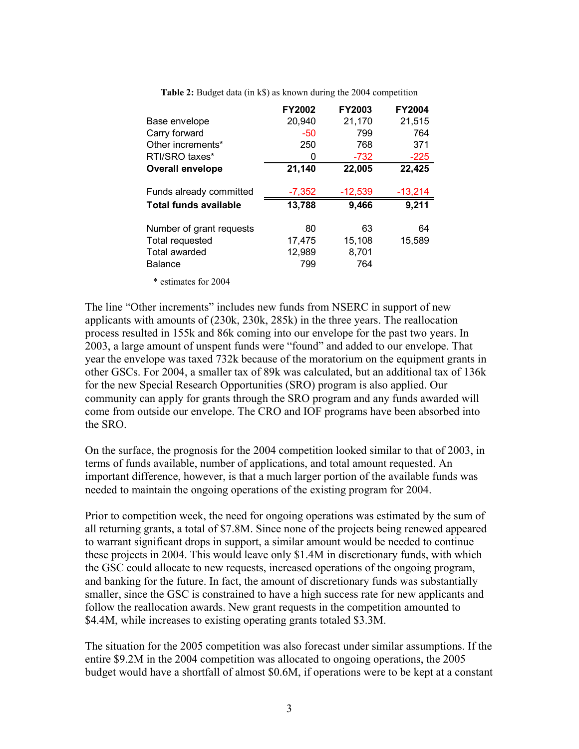|                              | <b>FY2002</b> | FY2003    | <b>FY2004</b> |
|------------------------------|---------------|-----------|---------------|
| Base envelope                | 20,940        | 21,170    | 21,515        |
| Carry forward                | $-50$         | 799       | 764           |
| Other increments*            | 250           | 768       | 371           |
| RTI/SRO taxes*               | 0             | -732      | $-225$        |
| <b>Overall envelope</b>      | 21,140        | 22,005    | 22,425        |
| Funds already committed      | $-7,352$      | $-12,539$ | $-13,214$     |
| <b>Total funds available</b> | 13,788        | 9,466     | 9,211         |
| Number of grant requests     | 80            | 63        | 64            |
| Total requested              | 17,475        | 15,108    | 15,589        |
| Total awarded                | 12,989        | 8,701     |               |
| Balance                      | 799           | 764       |               |
|                              |               |           |               |

<span id="page-2-0"></span>**Table 2:** Budget data (in k\$) as known during the 2004 competition

\* estimates for 2004

The line "Other increments" includes new funds from NSERC in support of new applicants with amounts of (230k, 230k, 285k) in the three years. The reallocation process resulted in 155k and 86k coming into our envelope for the past two years. In 2003, a large amount of unspent funds were "found" and added to our envelope. That year the envelope was taxed 732k because of the moratorium on the equipment grants in other GSCs. For 2004, a smaller tax of 89k was calculated, but an additional tax of 136k for the new Special Research Opportunities (SRO) program is also applied. Our community can apply for grants through the SRO program and any funds awarded will come from outside our envelope. The CRO and IOF programs have been absorbed into the SRO.

On the surface, the prognosis for the 2004 competition looked similar to that of 2003, in terms of funds available, number of applications, and total amount requested. An important difference, however, is that a much larger portion of the available funds was needed to maintain the ongoing operations of the existing program for 2004.

Prior to competition week, the need for ongoing operations was estimated by the sum of all returning grants, a total of \$7.8M. Since none of the projects being renewed appeared to warrant significant drops in support, a similar amount would be needed to continue these projects in 2004. This would leave only \$1.4M in discretionary funds, with which the GSC could allocate to new requests, increased operations of the ongoing program, and banking for the future. In fact, the amount of discretionary funds was substantially smaller, since the GSC is constrained to have a high success rate for new applicants and follow the reallocation awards. New grant requests in the competition amounted to \$4.4M, while increases to existing operating grants totaled \$3.3M.

The situation for the 2005 competition was also forecast under similar assumptions. If the entire \$9.2M in the 2004 competition was allocated to ongoing operations, the 2005 budget would have a shortfall of almost \$0.6M, if operations were to be kept at a constant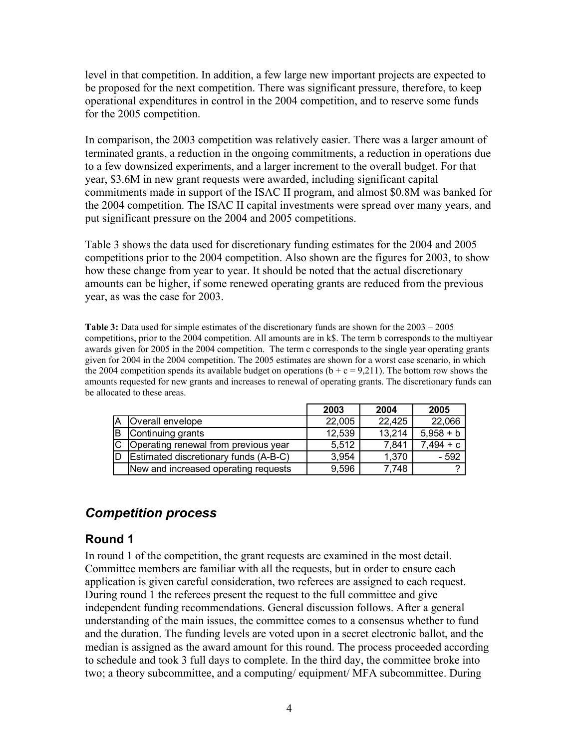level in that competition. In addition, a few large new important projects are expected to be proposed for the next competition. There was significant pressure, therefore, to keep operational expenditures in control in the 2004 competition, and to reserve some funds for the 2005 competition.

In comparison, the 2003 competition was relatively easier. There was a larger amount of terminated grants, a reduction in the ongoing commitments, a reduction in operations due to a few downsized experiments, and a larger increment to the overall budget. For that year, \$3.6M in new grant requests were awarded, including significant capital commitments made in support of the ISAC II program, and almost \$0.8M was banked for the 2004 competition. The ISAC II capital investments were spread over many years, and put significant pressure on the 2004 and 2005 competitions.

[Table](#page-3-0) 3 shows the data used for discretionary funding estimates for the 2004 and 2005 competitions prior to the 2004 competition. Also shown are the figures for 2003, to show how these change from year to year. It should be noted that the actual discretionary amounts can be higher, if some renewed operating grants are reduced from the previous year, as was the case for 2003.

<span id="page-3-0"></span>**Table 3:** Data used for simple estimates of the discretionary funds are shown for the 2003 – 2005 competitions, prior to the 2004 competition. All amounts are in k\$. The term b corresponds to the multiyear awards given for 2005 in the 2004 competition. The term c corresponds to the single year operating grants given for 2004 in the 2004 competition. The 2005 estimates are shown for a worst case scenario, in which the 2004 competition spends its available budget on operations  $(b + c = 9.211)$ . The bottom row shows the amounts requested for new grants and increases to renewal of operating grants. The discretionary funds can be allocated to these areas.

|    |                                        | 2003   | 2004   | 2005        |
|----|----------------------------------------|--------|--------|-------------|
| ιA | Overall envelope                       | 22,005 | 22,425 | 22,066      |
|    | B Continuing grants                    | 12,539 | 13,214 | $5.958 + b$ |
|    | C Operating renewal from previous year | 5,512  | 7,841  | $7,494 + c$ |
| ID | Estimated discretionary funds (A-B-C)  | 3,954  | 1,370  | $-592$      |
|    | New and increased operating requests   | 9,596  | 7.748  |             |

#### *Competition process*

#### **Round 1**

In round 1 of the competition, the grant requests are examined in the most detail. Committee members are familiar with all the requests, but in order to ensure each application is given careful consideration, two referees are assigned to each request. During round 1 the referees present the request to the full committee and give independent funding recommendations. General discussion follows. After a general understanding of the main issues, the committee comes to a consensus whether to fund and the duration. The funding levels are voted upon in a secret electronic ballot, and the median is assigned as the award amount for this round. The process proceeded according to schedule and took 3 full days to complete. In the third day, the committee broke into two; a theory subcommittee, and a computing/ equipment/ MFA subcommittee. During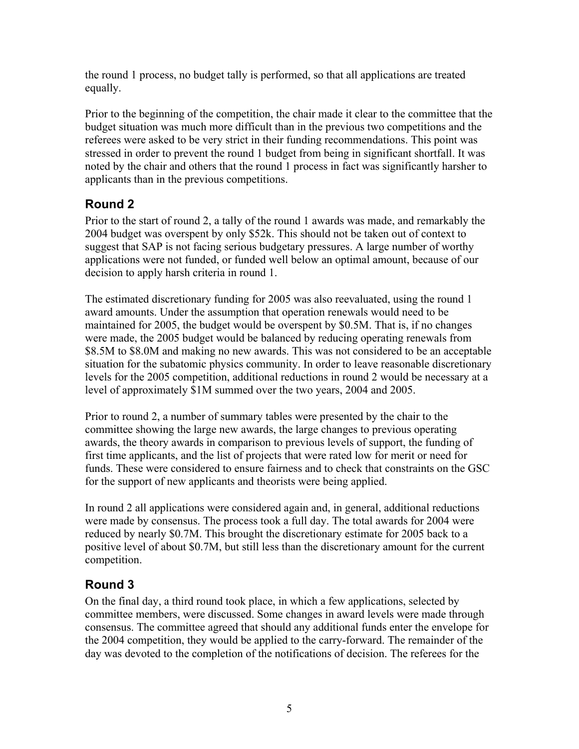the round 1 process, no budget tally is performed, so that all applications are treated equally.

Prior to the beginning of the competition, the chair made it clear to the committee that the budget situation was much more difficult than in the previous two competitions and the referees were asked to be very strict in their funding recommendations. This point was stressed in order to prevent the round 1 budget from being in significant shortfall. It was noted by the chair and others that the round 1 process in fact was significantly harsher to applicants than in the previous competitions.

## **Round 2**

Prior to the start of round 2, a tally of the round 1 awards was made, and remarkably the 2004 budget was overspent by only \$52k. This should not be taken out of context to suggest that SAP is not facing serious budgetary pressures. A large number of worthy applications were not funded, or funded well below an optimal amount, because of our decision to apply harsh criteria in round 1.

The estimated discretionary funding for 2005 was also reevaluated, using the round 1 award amounts. Under the assumption that operation renewals would need to be maintained for 2005, the budget would be overspent by \$0.5M. That is, if no changes were made, the 2005 budget would be balanced by reducing operating renewals from \$8.5M to \$8.0M and making no new awards. This was not considered to be an acceptable situation for the subatomic physics community. In order to leave reasonable discretionary levels for the 2005 competition, additional reductions in round 2 would be necessary at a level of approximately \$1M summed over the two years, 2004 and 2005.

Prior to round 2, a number of summary tables were presented by the chair to the committee showing the large new awards, the large changes to previous operating awards, the theory awards in comparison to previous levels of support, the funding of first time applicants, and the list of projects that were rated low for merit or need for funds. These were considered to ensure fairness and to check that constraints on the GSC for the support of new applicants and theorists were being applied.

In round 2 all applications were considered again and, in general, additional reductions were made by consensus. The process took a full day. The total awards for 2004 were reduced by nearly \$0.7M. This brought the discretionary estimate for 2005 back to a positive level of about \$0.7M, but still less than the discretionary amount for the current competition.

## **Round 3**

On the final day, a third round took place, in which a few applications, selected by committee members, were discussed. Some changes in award levels were made through consensus. The committee agreed that should any additional funds enter the envelope for the 2004 competition, they would be applied to the carry-forward. The remainder of the day was devoted to the completion of the notifications of decision. The referees for the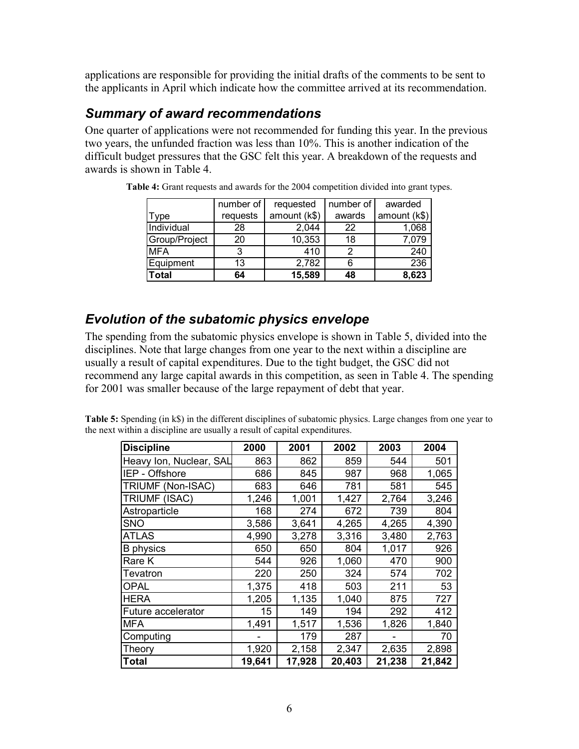applications are responsible for providing the initial drafts of the comments to be sent to the applicants in April which indicate how the committee arrived at its recommendation.

#### *Summary of award recommendations*

One quarter of applications were not recommended for funding this year. In the previous two years, the unfunded fraction was less than 10%. This is another indication of the difficult budget pressures that the GSC felt this year. A breakdown of the requests and awards is shown in [Table 4.](#page-5-0)

|               | number of | requested    | number of | awarded      |
|---------------|-----------|--------------|-----------|--------------|
| Type          | requests  | amount (k\$) | awards    | amount (k\$) |
| Individual    | 28        | 2,044        | 22        | 1,068        |
| Group/Project | 20        | 10,353       | 18        | 7,079        |
| <b>MFA</b>    | 3         | 410          |           | 240          |
| Equipment     | 13        | 2,782        | 6         | 236          |
| <b>Total</b>  | 64        | 15,589       | 48        | 8,623        |

<span id="page-5-0"></span>**Table 4:** Grant requests and awards for the 2004 competition divided into grant types.

#### *Evolution of the subatomic physics envelope*

The spending from the subatomic physics envelope is shown in [Table 5,](#page-5-1) divided into the disciplines. Note that large changes from one year to the next within a discipline are usually a result of capital expenditures. Due to the tight budget, the GSC did not recommend any large capital awards in this competition, as seen in [Table 4.](#page-5-0) The spending for 2001 was smaller because of the large repayment of debt that year.

| <b>Discipline</b>         | 2000   | 2001   | 2002   | 2003   | 2004   |
|---------------------------|--------|--------|--------|--------|--------|
| Heavy Ion, Nuclear, SAL   | 863    | 862    | 859    | 544    | 501    |
| IEP - Offshore            | 686    | 845    | 987    | 968    | 1,065  |
| TRIUMF (Non-ISAC)         | 683    | 646    | 781    | 581    | 545    |
| <b>TRIUMF (ISAC)</b>      | 1,246  | 1,001  | 1,427  | 2,764  | 3,246  |
| Astroparticle             | 168    | 274    | 672    | 739    | 804    |
| <b>SNO</b>                | 3,586  | 3,641  | 4,265  | 4,265  | 4,390  |
| <b>ATLAS</b>              | 4,990  | 3,278  | 3,316  | 3,480  | 2,763  |
| <b>B</b> physics          | 650    | 650    | 804    | 1,017  | 926    |
| Rare K                    | 544    | 926    | 1,060  | 470    | 900    |
| Tevatron                  | 220    | 250    | 324    | 574    | 702    |
| <b>OPAL</b>               | 1,375  | 418    | 503    | 211    | 53     |
| HERA                      | 1,205  | 1,135  | 1,040  | 875    | 727    |
| <b>Future accelerator</b> | 15     | 149    | 194    | 292    | 412    |
| <b>MFA</b>                | 1,491  | 1,517  | 1,536  | 1,826  | 1,840  |
| Computing                 |        | 179    | 287    |        | 70     |
| Theory                    | 1,920  | 2,158  | 2,347  | 2,635  | 2,898  |
| Total                     | 19,641 | 17,928 | 20,403 | 21,238 | 21,842 |

<span id="page-5-1"></span>**Table 5:** Spending (in k\$) in the different disciplines of subatomic physics. Large changes from one year to the next within a discipline are usually a result of capital expenditures.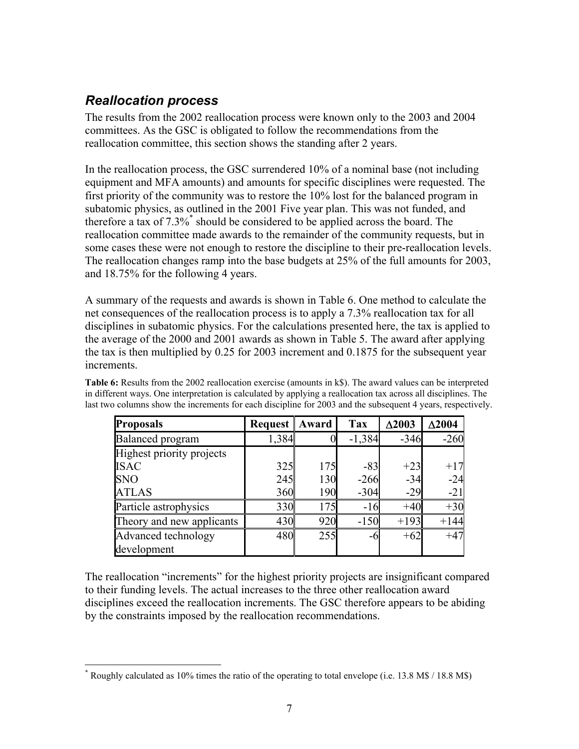#### *Reallocation process*

 $\overline{a}$ 

The results from the 2002 reallocation process were known only to the 2003 and 2004 committees. As the GSC is obligated to follow the recommendations from the reallocation committee, this section shows the standing after 2 years.

In the reallocation process, the GSC surrendered 10% of a nominal base (not including equipment and MFA amounts) and amounts for specific disciplines were requested. The first priority of the community was to restore the 10% lost for the balanced program in subatomic physics, as outlined in the 2001 Five year plan. This was not funded, and therefore a tax of 7.3[%\\*](#page-6-1) should be considered to be applied across the board. The reallocation committee made awards to the remainder of the community requests, but in some cases these were not enough to restore the discipline to their pre-reallocation levels. The reallocation changes ramp into the base budgets at 25% of the full amounts for 2003, and 18.75% for the following 4 years.

A summary of the requests and awards is shown in [Table 6.](#page-6-0) One method to calculate the net consequences of the reallocation process is to apply a 7.3% reallocation tax for all disciplines in subatomic physics. For the calculations presented here, the tax is applied to the average of the 2000 and 2001 awards as shown in [Table 5.](#page-5-1) The award after applying the tax is then multiplied by 0.25 for 2003 increment and 0.1875 for the subsequent year increments.

| <b>Proposals</b>          | <b>Request</b> | Award | <b>Tax</b> | $\Delta 2003$ | $\Delta 2004$ |
|---------------------------|----------------|-------|------------|---------------|---------------|
| <b>Balanced</b> program   | 1,384          |       | $-1,384$   | $-346$        | $-260$        |
| Highest priority projects |                |       |            |               |               |
| <b>ISAC</b>               | 325            | 175   | $-83$      | $+23$         | $+17$         |
| <b>SNO</b>                | 245            | 130   | $-266$     | $-34$         | $-24$         |
| <b>ATLAS</b>              | 360            | 190   | $-304$     | $-29$         | $-21$         |
| Particle astrophysics     | 330            | 175   | $-16$      | $+40$         | $+30$         |
| Theory and new applicants | 430            | 920   | $-150$     | $+193$        | $+144$        |
| Advanced technology       | 480            | 255   | -6         | $+62$         | $+47$         |
| development               |                |       |            |               |               |

<span id="page-6-0"></span>**Table 6:** Results from the 2002 reallocation exercise (amounts in k\$). The award values can be interpreted in different ways. One interpretation is calculated by applying a reallocation tax across all disciplines. The last two columns show the increments for each discipline for 2003 and the subsequent 4 years, respectively.

The reallocation "increments" for the highest priority projects are insignificant compared to their funding levels. The actual increases to the three other reallocation award disciplines exceed the reallocation increments. The GSC therefore appears to be abiding by the constraints imposed by the reallocation recommendations.

<span id="page-6-1"></span><sup>\*</sup> Roughly calculated as 10% times the ratio of the operating to total envelope (i.e. 13.8 M\$ / 18.8 M\$)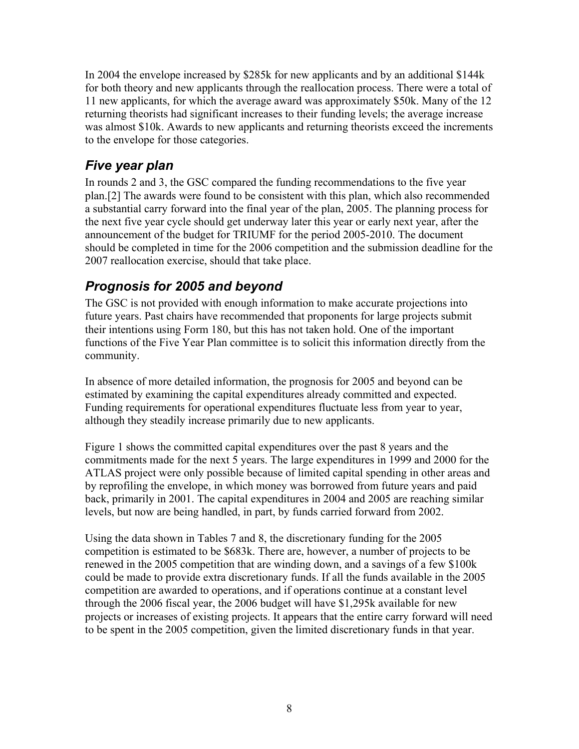In 2004 the envelope increased by \$285k for new applicants and by an additional \$144k for both theory and new applicants through the reallocation process. There were a total of 11 new applicants, for which the average award was approximately \$50k. Many of the 12 returning theorists had significant increases to their funding levels; the average increase was almost \$10k. Awards to new applicants and returning theorists exceed the increments to the envelope for those categories.

### *Five year plan*

In rounds 2 and 3, the GSC compared the funding recommendations to the five year plan.[[2\]](#page-9-1) The awards were found to be consistent with this plan, which also recommended a substantial carry forward into the final year of the plan, 2005. The planning process for the next five year cycle should get underway later this year or early next year, after the announcement of the budget for TRIUMF for the period 2005-2010. The document should be completed in time for the 2006 competition and the submission deadline for the 2007 reallocation exercise, should that take place.

## *Prognosis for 2005 and beyond*

The GSC is not provided with enough information to make accurate projections into future years. Past chairs have recommended that proponents for large projects submit their intentions using Form 180, but this has not taken hold. One of the important functions of the Five Year Plan committee is to solicit this information directly from the community.

In absence of more detailed information, the prognosis for 2005 and beyond can be estimated by examining the capital expenditures already committed and expected. Funding requirements for operational expenditures fluctuate less from year to year, although they steadily increase primarily due to new applicants.

[Figure](#page-8-0) 1 shows the committed capital expenditures over the past 8 years and the commitments made for the next 5 years. The large expenditures in 1999 and 2000 for the ATLAS project were only possible because of limited capital spending in other areas and by reprofiling the envelope, in which money was borrowed from future years and paid back, primarily in 2001. The capital expenditures in 2004 and 2005 are reaching similar levels, but now are being handled, in part, by funds carried forward from 2002.

Using the data shown in Tables 7 and 8, the discretionary funding for the 2005 competition is estimated to be \$683k. There are, however, a number of projects to be renewed in the 2005 competition that are winding down, and a savings of a few \$100k could be made to provide extra discretionary funds. If all the funds available in the 2005 competition are awarded to operations, and if operations continue at a constant level through the 2006 fiscal year, the 2006 budget will have \$1,295k available for new projects or increases of existing projects. It appears that the entire carry forward will need to be spent in the 2005 competition, given the limited discretionary funds in that year.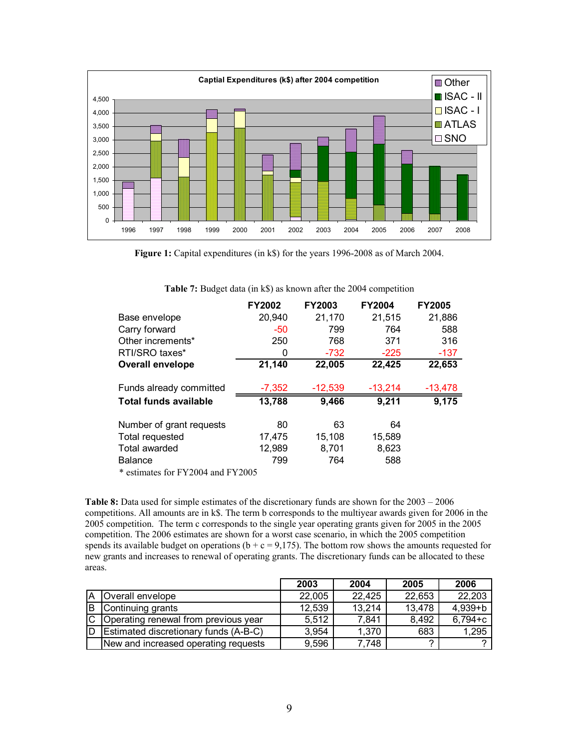<span id="page-8-0"></span>

**Figure 1:** Capital expenditures (in k\$) for the years 1996-2008 as of March 2004.

|                              | <b>FY2002</b> | <b>FY2003</b> | <b>FY2004</b> | <b>FY2005</b> |
|------------------------------|---------------|---------------|---------------|---------------|
| Base envelope                | 20,940        | 21,170        | 21,515        | 21,886        |
| Carry forward                | $-50$         | 799           | 764           | 588           |
| Other increments*            | 250           | 768           | 371           | 316           |
| RTI/SRO taxes*               | 0             | $-732$        | $-225$        | -137          |
| Overall envelope             | 21,140        | 22,005        | 22,425        | 22,653        |
| Funds already committed      | $-7,352$      | $-12,539$     | $-13,214$     | $-13,478$     |
| <b>Total funds available</b> | 13,788        | 9,466         | 9,211         | 9,175         |
| Number of grant requests     | 80            | 63            | 64            |               |
| Total requested              | 17,475        | 15,108        | 15,589        |               |
| Total awarded                | 12,989        | 8,701         | 8,623         |               |
| <b>Balance</b>               | 799           | 764           | 588           |               |

**Table 7:** Budget data (in k\$) as known after the 2004 competition

\* estimates for FY2004 and FY2005

**Table 8:** Data used for simple estimates of the discretionary funds are shown for the 2003 – 2006 competitions. All amounts are in k\$. The term b corresponds to the multiyear awards given for 2006 in the 2005 competition. The term c corresponds to the single year operating grants given for 2005 in the 2005 competition. The 2006 estimates are shown for a worst case scenario, in which the 2005 competition spends its available budget on operations ( $b + c = 9,175$ ). The bottom row shows the amounts requested for new grants and increases to renewal of operating grants. The discretionary funds can be allocated to these areas.

|     |                                        | 2003   | 2004   | 2005   | 2006        |
|-----|----------------------------------------|--------|--------|--------|-------------|
| ΙA  | Overall envelope                       | 22,005 | 22,425 | 22,653 | 22,203      |
| IB. | Continuing grants                      | 12,539 | 13,214 | 13,478 | $4,939 + b$ |
|     | C Operating renewal from previous year | 5,512  | 7,841  | 8,492  | $6,794+c$   |
| ID  | Estimated discretionary funds (A-B-C)  | 3,954  | 1,370  | 683    | 1,295       |
|     | New and increased operating requests   | 9,596  | 7,748  | ົ      |             |